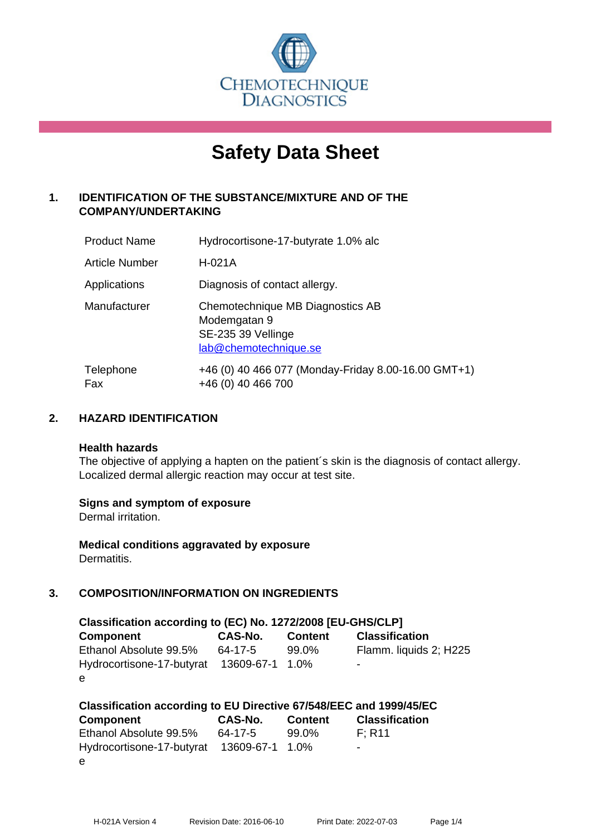

# **Safety Data Sheet**

# **1. IDENTIFICATION OF THE SUBSTANCE/MIXTURE AND OF THE COMPANY/UNDERTAKING**

| <b>Product Name</b> | Hydrocortisone-17-butyrate 1.0% alc                                                             |
|---------------------|-------------------------------------------------------------------------------------------------|
| Article Number      | $H-021A$                                                                                        |
| Applications        | Diagnosis of contact allergy.                                                                   |
| Manufacturer        | Chemotechnique MB Diagnostics AB<br>Modemgatan 9<br>SE-235 39 Vellinge<br>lab@chemotechnique.se |
| Telephone<br>Fax    | +46 (0) 40 466 077 (Monday-Friday 8.00-16.00 GMT+1)<br>+46 (0) 40 466 700                       |

# **2. HAZARD IDENTIFICATION**

#### **Health hazards**

The objective of applying a hapten on the patient's skin is the diagnosis of contact allergy. Localized dermal allergic reaction may occur at test site.

#### **Signs and symptom of exposure**

Dermal irritation.

**Medical conditions aggravated by exposure** Dermatitis.

# **3. COMPOSITION/INFORMATION ON INGREDIENTS**

| Classification according to (EC) No. 1272/2008 [EU-GHS/CLP] |         |                |                        |  |  |  |
|-------------------------------------------------------------|---------|----------------|------------------------|--|--|--|
| <b>Component</b>                                            | CAS-No. | <b>Content</b> | <b>Classification</b>  |  |  |  |
| Ethanol Absolute 99.5%                                      | 64-17-5 | 99.0%          | Flamm. liquids 2; H225 |  |  |  |
| Hydrocortisone-17-butyrat 13609-67-1 1.0%                   |         |                | -                      |  |  |  |
| e                                                           |         |                |                        |  |  |  |

| Classification according to EU Directive 67/548/EEC and 1999/45/EC |                |                |                       |  |  |  |
|--------------------------------------------------------------------|----------------|----------------|-----------------------|--|--|--|
| <b>Component</b>                                                   | <b>CAS-No.</b> | <b>Content</b> | <b>Classification</b> |  |  |  |
| Ethanol Absolute 99.5%                                             | 64-17-5        | 99.0%          | F: R11                |  |  |  |
| Hydrocortisone-17-butyrat 13609-67-1 1.0%                          |                |                | -                     |  |  |  |
| e                                                                  |                |                |                       |  |  |  |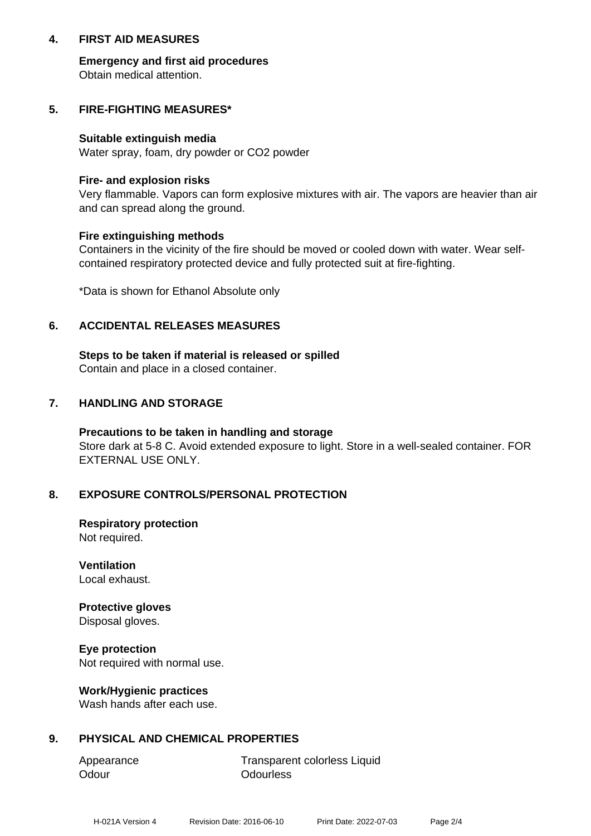## **4. FIRST AID MEASURES**

**Emergency and first aid procedures** Obtain medical attention.

## **5. FIRE-FIGHTING MEASURES\***

#### **Suitable extinguish media**

Water spray, foam, dry powder or CO2 powder

#### **Fire- and explosion risks**

Very flammable. Vapors can form explosive mixtures with air. The vapors are heavier than air and can spread along the ground.

#### **Fire extinguishing methods**

Containers in the vicinity of the fire should be moved or cooled down with water. Wear selfcontained respiratory protected device and fully protected suit at fire-fighting.

\*Data is shown for Ethanol Absolute only

# **6. ACCIDENTAL RELEASES MEASURES**

**Steps to be taken if material is released or spilled** Contain and place in a closed container.

# **7. HANDLING AND STORAGE**

**Precautions to be taken in handling and storage** Store dark at 5-8 C. Avoid extended exposure to light. Store in a well-sealed container. FOR EXTERNAL USE ONLY.

#### **8. EXPOSURE CONTROLS/PERSONAL PROTECTION**

**Respiratory protection** Not required.

**Ventilation** Local exhaust.

**Protective gloves** Disposal gloves.

**Eye protection** Not required with normal use.

#### **Work/Hygienic practices**

Wash hands after each use.

#### **9. PHYSICAL AND CHEMICAL PROPERTIES**

Odour **Odourless** 

Appearance Transparent colorless Liquid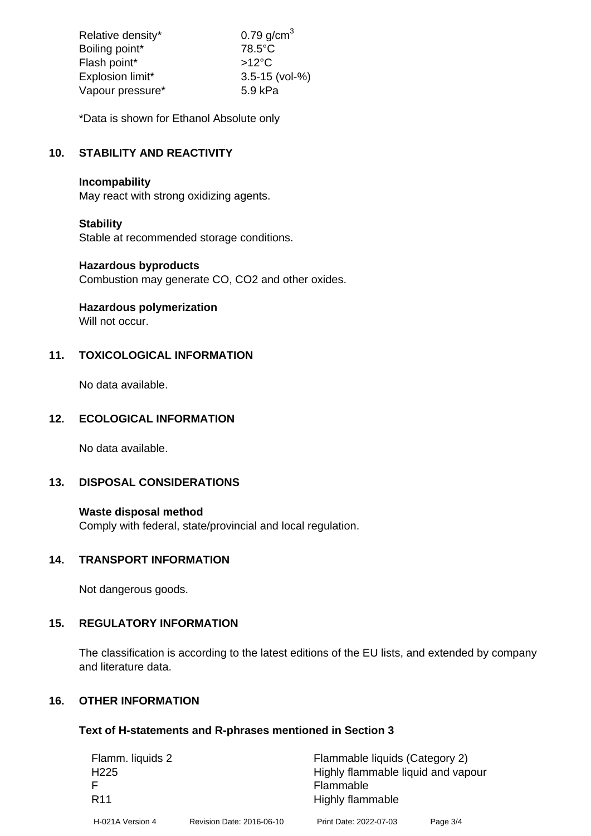| Relative density* | $0.79$ g/cm <sup>3</sup> |
|-------------------|--------------------------|
| Boiling point*    | 78.5°C                   |
| Flash point*      | $>12^{\circ}$ C          |
| Explosion limit*  | $3.5 - 15$ (vol-%)       |
| Vapour pressure*  | 5.9 kPa                  |

\*Data is shown for Ethanol Absolute only

# **10. STABILITY AND REACTIVITY**

## **Incompability**

May react with strong oxidizing agents.

# **Stability**

Stable at recommended storage conditions.

#### **Hazardous byproducts**

Combustion may generate CO, CO2 and other oxides.

**Hazardous polymerization**

Will not occur.

# **11. TOXICOLOGICAL INFORMATION**

No data available.

# **12. ECOLOGICAL INFORMATION**

No data available.

#### **13. DISPOSAL CONSIDERATIONS**

#### **Waste disposal method**

Comply with federal, state/provincial and local regulation.

# **14. TRANSPORT INFORMATION**

Not dangerous goods.

# **15. REGULATORY INFORMATION**

The classification is according to the latest editions of the EU lists, and extended by company and literature data.

## **16. OTHER INFORMATION**

#### **Text of H-statements and R-phrases mentioned in Section 3**

| Flamm. liquids 2 |                           | Flammable liquids (Category 2)     |          |  |
|------------------|---------------------------|------------------------------------|----------|--|
| H <sub>225</sub> |                           | Highly flammable liquid and vapour |          |  |
|                  |                           | Flammable                          |          |  |
| R <sub>11</sub>  |                           | Highly flammable                   |          |  |
| H-021A Version 4 | Revision Date: 2016-06-10 | Print Date: 2022-07-03             | Page 3/4 |  |